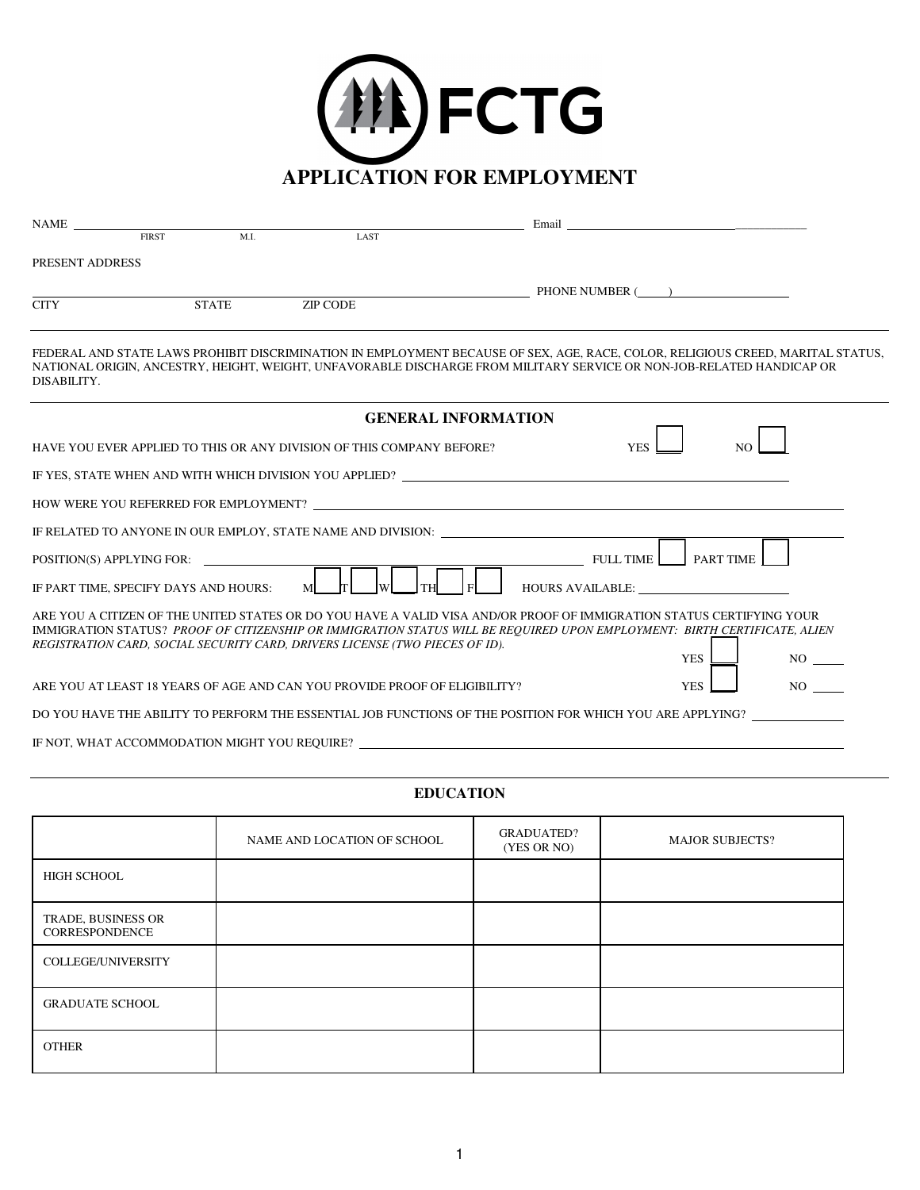

| <b>NAME</b>     | <b>FIRST</b>                          | ML                                            | <b>LAST</b>                                                                  |                                                                                                                                                                                                                                                          |
|-----------------|---------------------------------------|-----------------------------------------------|------------------------------------------------------------------------------|----------------------------------------------------------------------------------------------------------------------------------------------------------------------------------------------------------------------------------------------------------|
| PRESENT ADDRESS |                                       |                                               |                                                                              |                                                                                                                                                                                                                                                          |
|                 |                                       |                                               |                                                                              | PHONE NUMBER ()                                                                                                                                                                                                                                          |
| <b>CITY</b>     |                                       | <b>STATE</b>                                  | <b>ZIP CODE</b>                                                              |                                                                                                                                                                                                                                                          |
| DISABILITY.     |                                       |                                               |                                                                              | FEDERAL AND STATE LAWS PROHIBIT DISCRIMINATION IN EMPLOYMENT BECAUSE OF SEX, AGE, RACE, COLOR, RELIGIOUS CREED, MARITAL STATUS,<br>NATIONAL ORIGIN, ANCESTRY, HEIGHT, WEIGHT, UNFAVORABLE DISCHARGE FROM MILITARY SERVICE OR NON-JOB-RELATED HANDICAP OR |
|                 |                                       |                                               |                                                                              | <b>GENERAL INFORMATION</b>                                                                                                                                                                                                                               |
|                 |                                       |                                               | HAVE YOU EVER APPLIED TO THIS OR ANY DIVISION OF THIS COMPANY BEFORE?        | <b>YES</b><br>NO.                                                                                                                                                                                                                                        |
|                 |                                       |                                               |                                                                              | IF YES, STATE WHEN AND WITH WHICH DIVISION YOU APPLIED?                                                                                                                                                                                                  |
|                 |                                       |                                               |                                                                              | HOW WERE YOU REFERRED FOR EMPLOYMENT?                                                                                                                                                                                                                    |
|                 |                                       |                                               |                                                                              | IF RELATED TO ANYONE IN OUR EMPLOY, STATE NAME AND DIVISION:                                                                                                                                                                                             |
|                 | POSITION(S) APPLYING FOR:             |                                               |                                                                              | FULL TIME<br>PART TIME                                                                                                                                                                                                                                   |
|                 | IF PART TIME, SPECIFY DAYS AND HOURS: |                                               | M                                                                            | <b>HOURS AVAILABLE:</b>                                                                                                                                                                                                                                  |
|                 |                                       |                                               | REGISTRATION CARD, SOCIAL SECURITY CARD, DRIVERS LICENSE (TWO PIECES OF ID). | ARE YOU A CITIZEN OF THE UNITED STATES OR DO YOU HAVE A VALID VISA AND/OR PROOF OF IMMIGRATION STATUS CERTIFYING YOUR<br>IMMIGRATION STATUS? PROOF OF CITIZENSHIP OR IMMIGRATION STATUS WILL BE REQUIRED UPON EMPLOYMENT: BIRTH CERTIFICATE, ALIEN       |
|                 |                                       |                                               |                                                                              | <b>YES</b><br>$NO$ <sub>----</sub>                                                                                                                                                                                                                       |
|                 |                                       |                                               | ARE YOU AT LEAST 18 YEARS OF AGE AND CAN YOU PROVIDE PROOF OF ELIGIBILITY?   | NO<br><b>YES</b>                                                                                                                                                                                                                                         |
|                 |                                       |                                               |                                                                              | DO YOU HAVE THE ABILITY TO PERFORM THE ESSENTIAL JOB FUNCTIONS OF THE POSITION FOR WHICH YOU ARE APPLYING?                                                                                                                                               |
|                 |                                       | IF NOT, WHAT ACCOMMODATION MIGHT YOU REQUIRE? |                                                                              |                                                                                                                                                                                                                                                          |

## **EDUCATION**

|                                      | NAME AND LOCATION OF SCHOOL | <b>GRADUATED?</b><br>(YES OR NO) | <b>MAJOR SUBJECTS?</b> |
|--------------------------------------|-----------------------------|----------------------------------|------------------------|
| HIGH SCHOOL                          |                             |                                  |                        |
| TRADE, BUSINESS OR<br>CORRESPONDENCE |                             |                                  |                        |
| COLLEGE/UNIVERSITY                   |                             |                                  |                        |
| <b>GRADUATE SCHOOL</b>               |                             |                                  |                        |
| <b>OTHER</b>                         |                             |                                  |                        |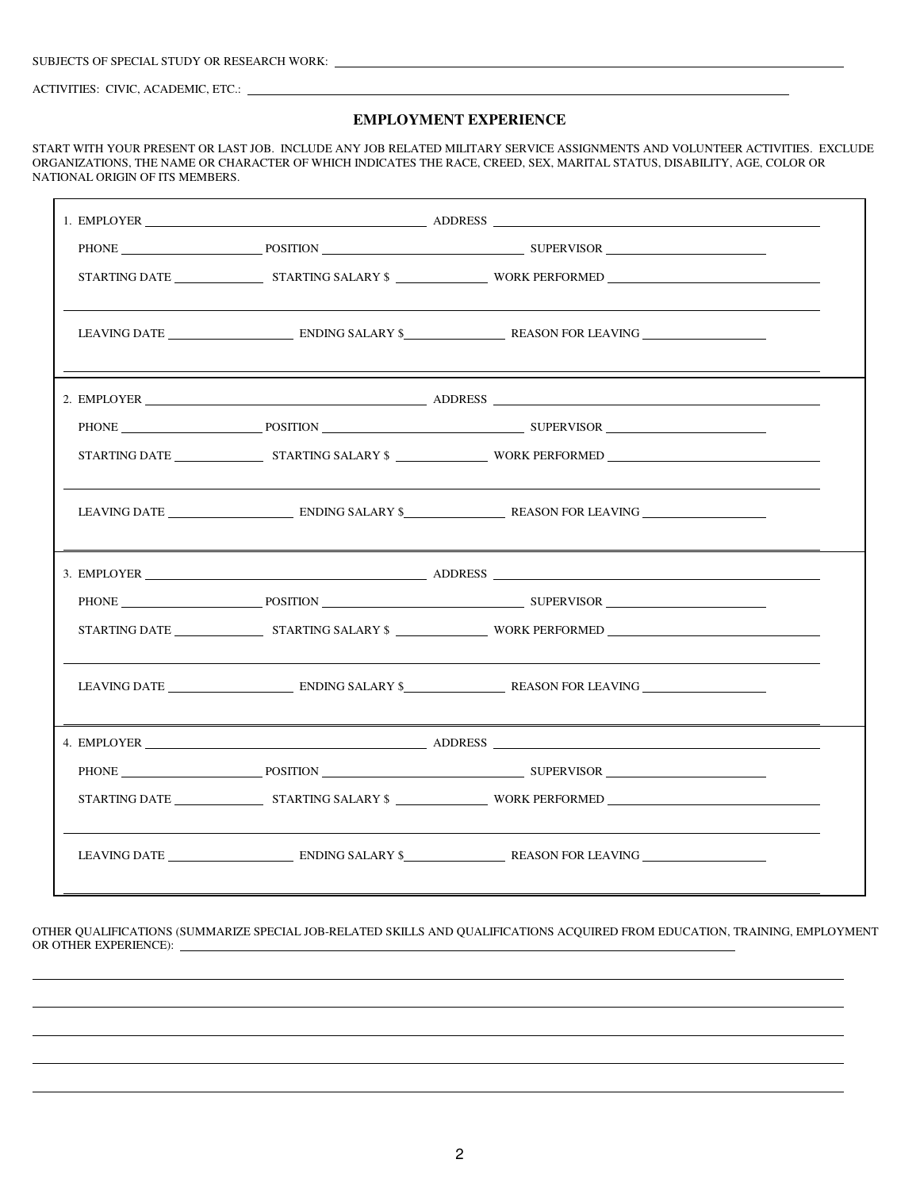ACTIVITIES: CIVIC, ACADEMIC, ETC.:

 $\overline{a}$ 

## **EMPLOYMENT EXPERIENCE**

START WITH YOUR PRESENT OR LAST JOB. INCLUDE ANY JOB RELATED MILITARY SERVICE ASSIGNMENTS AND VOLUNTEER ACTIVITIES. EXCLUDE ORGANIZATIONS, THE NAME OR CHARACTER OF WHICH INDICATES THE RACE, CREED, SEX, MARITAL STATUS, DISABILITY, AGE, COLOR OR NATIONAL ORIGIN OF ITS MEMBERS.

|  |  | PHONE POSITION POSITION SUPERVISOR                   |  |
|--|--|------------------------------------------------------|--|
|  |  |                                                      |  |
|  |  |                                                      |  |
|  |  | 4. EMPLOYER ADDRESS                                  |  |
|  |  | PHONE POSITION POSITION POSITION PRODUCED BUPERVISOR |  |
|  |  |                                                      |  |
|  |  | LEAVING DATE ENDING SALARY \$                        |  |

OTHER QUALIFICATIONS (SUMMARIZE SPECIAL JOB-RELATED SKILLS AND QUALIFICATIONS ACQUIRED FROM EDUCATION, TRAINING, EMPLOYMENT OR OTHER EXPERIENCE):